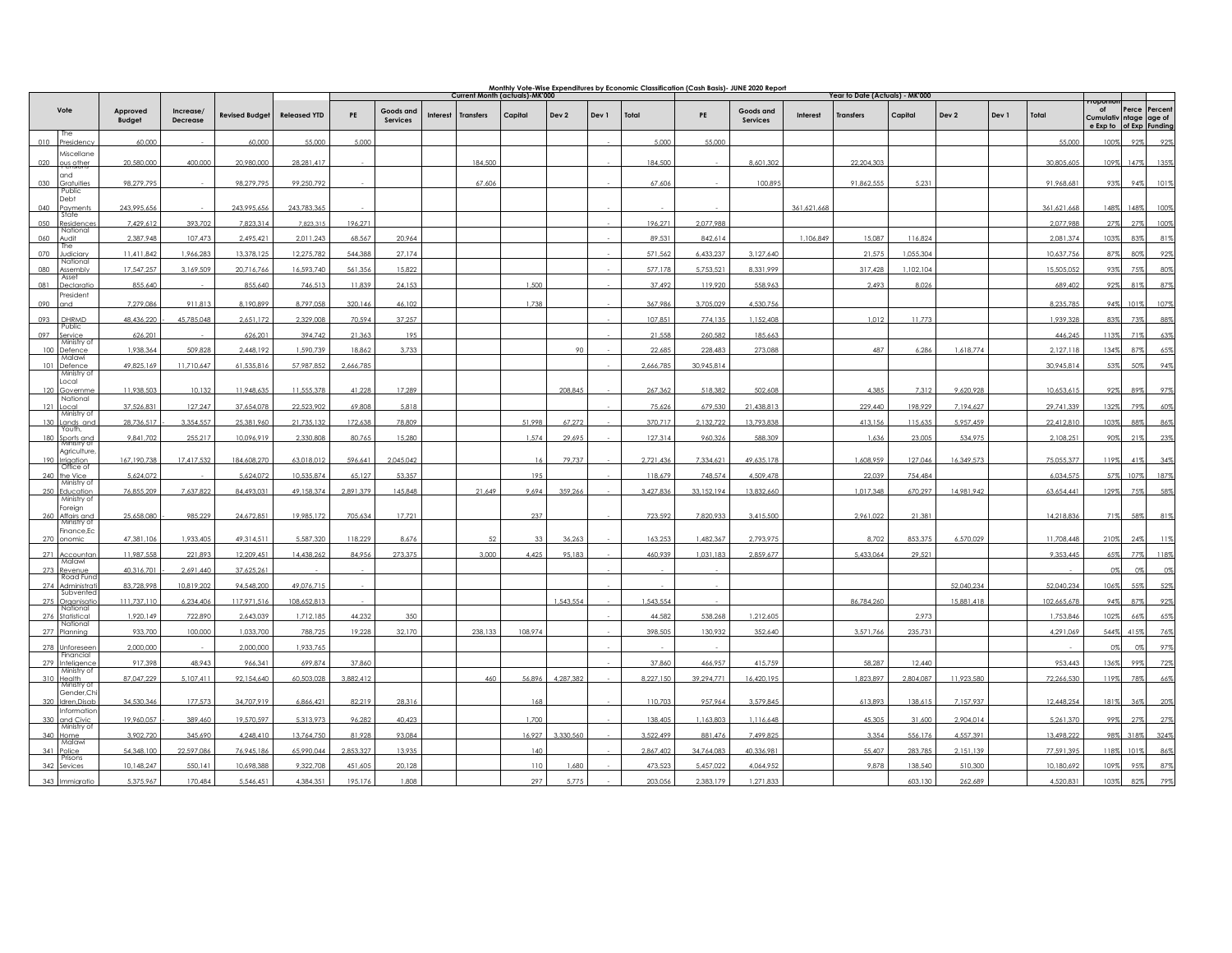|                                      |                           |                             | Monthly Vote-Wise Expenditures by Economic Classification (Cash Basis)- JUNE 2020 Report<br>Current Month (actuals)-MK'000 |                     |           |                       |          |                  |         |           |       |           | Year to Date (Actuals) - MK'000 |                              |             |                  |           |            |       |             |                                          |               |                |
|--------------------------------------|---------------------------|-----------------------------|----------------------------------------------------------------------------------------------------------------------------|---------------------|-----------|-----------------------|----------|------------------|---------|-----------|-------|-----------|---------------------------------|------------------------------|-------------|------------------|-----------|------------|-------|-------------|------------------------------------------|---------------|----------------|
| Vote                                 | Approved<br><b>Budget</b> | Increase<br><b>Decrease</b> | <b>Revised Budget</b>                                                                                                      | <b>Released YTD</b> | PE        | Goods and<br>Services | Interest | <b>Transfers</b> | Capital | Dev 2     | Dev 1 | Total     | PE                              | Goods and<br><b>Services</b> | Interest    | <b>Transfers</b> | Capital   | Dev 2      | Dev 1 | Total       | of<br>Cumulativ ntage age of<br>e Exp to | Perce Percent | of Exp Funding |
| <b>The</b><br>010<br>Presidenc       | 60,000                    |                             | 60,000                                                                                                                     | 55,000              | 5,000     |                       |          |                  |         |           |       | 5.000     | 55,000                          |                              |             |                  |           |            |       | 55,000      | 100%                                     | 92%           | 92%            |
| Miscellane<br>020<br>ous other       | 20,580,000                | 400,000                     | 20,980,000                                                                                                                 | 28,281,417          |           |                       |          | 184,500          |         |           |       | 184,500   |                                 | 8,601,302                    |             | 22,204,303       |           |            |       | 30,805,605  | 109%                                     | 147%          | 135%           |
| and<br>030<br>Gratuities             | 98,279,795                |                             | 98,279,795                                                                                                                 | 99,250,792          |           |                       |          | 67,606           |         |           |       | 67,606    |                                 | 100,895                      |             | 91,862,555       | 5,231     |            |       | 91,968,681  | 93%                                      | 94%           | 101%           |
| Public<br>Debt                       |                           |                             |                                                                                                                            |                     |           |                       |          |                  |         |           |       |           |                                 |                              |             |                  |           |            |       |             |                                          |               |                |
| 040<br>Payment:<br>State             | 243,995,656               |                             | 243,995,656                                                                                                                | 243,783,365         |           |                       |          |                  |         |           |       |           |                                 |                              | 361,621,668 |                  |           |            |       | 361,621,668 | 148%                                     | 148%          | 100%           |
| 050<br>Residence:<br>National        | 7,429,612                 | 393,702                     | 7,823,314                                                                                                                  | 7,823,315           | 196,271   |                       |          |                  |         |           |       | 196,271   | 2,077,988                       |                              |             |                  |           |            |       | 2,077,988   | 27%                                      | 27%           | 100%           |
| 060<br>tibu<br>he                    | 2,387,948                 | 107,473                     | 2,495,421                                                                                                                  | 2,011,243           | 68,567    | 20,964                |          |                  |         |           |       | 89,531    | 842,614                         |                              | 1,106,849   | 15,087           | 116,824   |            |       | 2,081,374   | 103%                                     | 83%           | 81%            |
| 070<br>Judician<br>National          | 11,411,842                | 1,966,283                   | 13,378,125                                                                                                                 | 12,275,782          | 544,388   | 27,174                |          |                  |         |           |       | 571,562   | 6,433,237                       | 3,127,640                    |             | 21,575           | 1,055,304 |            |       | 10,637,756  | 87%                                      | 80%           | 92%            |
| 080<br>Assembly<br>Asset             | 17,547,257                | 3,169,509                   | 20,716,766                                                                                                                 | 16,593,740          | 561,356   | 15,822                |          |                  |         |           |       | 577,178   | 5,753,521                       | 8,331,999                    |             | 317,428          | 1,102,104 |            |       | 15,505,052  | 93%                                      | 75%           | 80%            |
| 081<br>Declaratic<br>President       | 855,640                   |                             | 855,640                                                                                                                    | 746,513             | 11,839    | 24,153                |          |                  | 1,500   |           |       | 37,492    | 119,920                         | 558,963                      |             | 2,493            | 8,026     |            |       | 689,402     | 92%                                      | 81%           | 87%            |
| 090<br>and                           | 7,279,086                 | 911,813                     | 8,190,899                                                                                                                  | 8,797,058           | 320,146   | 46,102                |          |                  | 1,738   |           |       | 367,986   | 3,705,029                       | 4,530,756                    |             |                  |           |            |       | 8,235,785   | 94%                                      | 101%          | 107%           |
| 093<br>DHRMD                         | 48,436,220                | 45,785,048                  | 2,651,172                                                                                                                  | 2,329,008           | 70,594    | 37,257                |          |                  |         |           |       | 107,851   | 774.135                         | 1,152,408                    |             | 1,012            | 11,773    |            |       | 1,939,328   | 83%                                      | 73%           | 88%            |
| Public<br>097<br>Service             | 626,201                   |                             | 626,201                                                                                                                    | 394,742             | 21,363    | 195                   |          |                  |         |           |       | 21,558    | 260,582                         | 185,663                      |             |                  |           |            |       | 446,245     | 113%                                     | 71%           | 63%            |
| Ministry of<br>100<br>Defence        | 1.938.364                 | 509,828                     | 2,448,192                                                                                                                  | 1,590,739           | 18,862    | 3,733                 |          |                  |         | Q         |       | 22,685    | 228,483                         | 273.088                      |             | 487              | 6,286     | 1,618,774  |       | 2,127,118   | 134%                                     | 87%           | 65%            |
| Malawi<br>101<br>Defence             | 49.825.169                | 11.710.647                  | 61,535,816                                                                                                                 | 57.987.852          | 2,666,785 |                       |          |                  |         |           |       | 2.666.785 | 30,945,814                      |                              |             |                  |           |            |       | 30,945,814  | 53%                                      | 50%           | 94%            |
| Ministry of<br>Local<br>Governme     | 11,938,503                | 10,132                      | 11,948,635                                                                                                                 | 11,555,378          | 41,228    | 17,289                |          |                  |         | 208,845   |       | 267,362   | 518,382                         | 502,608                      |             | 4,385            | 7,312     | 9,620,928  |       | 10,653,615  | 92%                                      | 89%           | 97%            |
| National<br>12<br>ocal               | 37,526,83                 | 127,247                     | 37,654,07                                                                                                                  | 22,523,902          | 69,808    | 5,818                 |          |                  |         |           |       | 75,626    | 679,530                         | 21,438,813                   |             | 229,440          | 198,929   | 7,194,627  |       | 29,741,339  | 132%                                     | 79%           | 60%            |
| Ministry of<br>130<br>Lands and      | 28.736.517                | 3.354.557                   | 25,381,960                                                                                                                 | 21,735,132          | 172,638   | 78,809                |          |                  | 51.998  | 67,272    |       | 370,717   | 2,132,722                       | 13,793,838                   |             | 413.156          | 115,635   | 5,957,459  |       | 22,412,810  | 103%                                     | 88%           | 86%            |
| Youth,<br>180<br>Sports and          | 9,841,702                 | 255,217                     | 10,096,919                                                                                                                 | 2,330,808           | 80,765    | 15,280                |          |                  | 1.574   | 29,695    |       | 127.314   | 960,326                         | 588,309                      |             | 1,636            | 23,005    | 534,975    |       | 2,108,251   | 90%                                      | 21%           | 23%            |
| Agriculture                          |                           |                             |                                                                                                                            |                     |           |                       |          |                  |         |           |       |           |                                 |                              |             |                  |           |            |       |             |                                          |               |                |
| 190<br>Irrigation<br>Office of       | 167, 190, 738             | 17,417,532                  | 184,608,270                                                                                                                | 63,018,012          | 596,641   | 2,045,042             |          |                  | 16      | 79,737    |       | 2,721,436 | 7,334,621                       | 49,635,178                   |             | 1,608,959        | 127,046   | 16,349,573 |       | 75,055,377  | 119%                                     | 41%           | 34%            |
| 240 the Vice<br>Ministry of          | 5,624,072                 |                             | 5,624,072                                                                                                                  | 10.535.874          | 65,127    | 53,357                |          |                  | 195     |           |       | 118,679   | 748.574                         | 4,509,478                    |             | 22,039           | 754,484   |            |       | 6,034,575   | 57%                                      | 107%          | 187%           |
| 250<br>Education<br>Ministry of      | 76.855.209                | 7.637.822                   | 84,493,03                                                                                                                  | 49.158.374          | 2.891.379 | 145,848               |          | 21,649           | 9,694   | 359.266   |       | 3,427,836 | 33.152.194                      | 13.832.660                   |             | 1,017,348        | 670,297   | 14,981,942 |       | 63,654,441  | 129%                                     | 75%           | 58%            |
| Foreign<br>Affairs and               | 25,658,080                | 985,229                     | 24,672,851                                                                                                                 | 19,985,172          | 705,634   | 17,721                |          |                  | 237     |           |       | 723,592   | 7,820,933                       | 3,415,500                    |             | 2,961,022        | 21,381    |            |       | 14,218,836  | 71%                                      | 58%           | 81%            |
| Finance, Ec<br>270 onomic            | 47,381,106                | 1,933,405                   | 49,314,511                                                                                                                 | 5,587,320           | 118,229   | 8,676                 |          |                  | 33      | 36,263    |       | 163,253   | 1,482,367                       | 2,793,975                    |             | 8,702            | 853,375   | 6,570,029  |       | 11,708,448  | 210%                                     | 24%           | 11%            |
| 271 Accountar                        | 11,987,558                | 221,893                     | 12,209,451                                                                                                                 | 14,438,262          | 84,956    | 273,375               |          | 3,000            | 4,425   | 95.183    |       | 460,939   | 1,031,183                       | 2,859,677                    |             | 5,433,064        | 29.521    |            |       | 9,353,445   | 659                                      | 77%           | 118%           |
| Malawi<br>273<br>Revenue             | 40.316.701                | 2,691,440                   | 37,625,261                                                                                                                 |                     |           |                       |          |                  |         |           |       |           |                                 |                              |             |                  |           |            |       |             | 0%                                       | 0%            | 0%             |
| <b>Road Fun</b><br>274<br>Administra | 83,728,998                | 10,819,202                  | 94,548,200                                                                                                                 | 49,076,715          |           |                       |          |                  |         |           |       |           |                                 |                              |             |                  |           | 52,040,234 |       | 52,040,234  | 106%                                     | 55%           | 52%            |
| Subvente<br>275<br>Organisati        | 111.737.110               | 6,234,406                   | 117,971,516                                                                                                                | 108,652,813         |           |                       |          |                  |         | 1.543.554 |       | 1.543.554 |                                 |                              |             | 86,784,260       |           | 15,881,418 |       | 102,665,678 | 94%                                      | 87%           | 92%            |
| National<br>276<br>Statistical       | 1,920,149                 | 722,890                     | 2,643,039                                                                                                                  | 1,712,185           | 44,232    | 350                   |          |                  |         |           |       | 44,582    | 538,268                         | 1,212,605                    |             |                  | 2,973     |            |       | 1,753,846   | 102%                                     | 66%           | 65%            |
| National<br>277 Planning             | 933,700                   | 100,000                     | 1,033,700                                                                                                                  | 788,725             | 19,228    | 32,170                |          | 238,133          | 108,974 |           |       | 398,505   | 130,932                         | 352,640                      |             | 3,571,766        | 235,731   |            |       | 4,291,069   | 544%                                     | 415%          | 76%            |
| 278<br>Unforesee                     | 2,000,000                 |                             | 2,000,000                                                                                                                  | 1.933.765           |           |                       |          |                  |         |           |       |           |                                 |                              |             |                  |           |            |       |             | $^{\circ}$                               | 0%            | 97%            |
| Financial<br>279<br>Inteligence      | 917.398                   | 48.943                      | 966.341                                                                                                                    | 699,874             | 37.860    |                       |          |                  |         |           |       | 37.860    | 466.957                         | 415.759                      |             | 58,287           | 12.440    |            |       | 953.443     | 136%                                     | 99%           | 72%            |
| Ministry of<br>310                   | 87.047.229                | 5.107.411                   | 92.154.640                                                                                                                 | 60.503.02           | 3,882,412 |                       |          | 460              | 56,896  | 4.287.382 |       | 8.227.150 | 39.294.771                      | 16,420,195                   |             | 1,823,897        | 2.804.087 | 11.923.580 |       | 72,266,530  | 119%                                     | 78%           | 66%            |
| Health<br>Ministry of<br>Gender.Ch   |                           |                             |                                                                                                                            |                     |           |                       |          |                  |         |           |       |           |                                 |                              |             |                  |           |            |       |             |                                          |               |                |
| 320<br>Idren.Disab<br>Information    | 34.530.346                | 177,573                     | 34,707,919                                                                                                                 | 6,866,421           | 82,219    | 28,316                |          |                  | 168     |           |       | 110,703   | 957.964                         | 3.579.845                    |             | 613,893          | 138,615   | 7,157,937  |       | 12,448,254  | 181%                                     | 36%           | 20%            |
| and Civic<br>Ministry of             | 19.960.057                | 389,460                     | 19,570,597                                                                                                                 | 5,313,973           | 96.282    | 40,423                |          |                  | 1,700   |           |       | 138.405   | 1.163.803                       | 1.116.648                    |             | 45.305           | 31,600    | 2,904,014  |       | 5,261,370   | 99%                                      | 27%           | 27%            |
| 340<br>Home<br>Malawi                | 3,902,720                 | 345,690                     | 4,248,410                                                                                                                  | 13,764,750          | 81,928    | 93,084                |          |                  | 16,927  | 3.330.560 |       | 3,522,499 | 881.476                         | 7,499,825                    |             | 3,354            | 556,176   | 4,557,391  |       | 13,498,222  | 98%                                      | 318%          | 324%           |
| 341<br>Police<br>'risons             | 54.348.100                | 22,597.086                  | 76,945,186                                                                                                                 | 65,990,044          | 2.853.327 | 13.935                |          |                  | 140     |           |       | 2.867.402 | 34,764,083                      | 40,336,981                   |             | 55.407           | 283,785   | 2,151,139  |       | 77,591,395  | 118%                                     | 101%          | 86%            |
| 342<br>Sevices                       | 10,148,247                | 550,141                     | 10,698,38                                                                                                                  | 9,322,708           | 451,605   | 20,128                |          |                  | 110     | 1,680     |       | 473.523   | 5,457,022                       | 4,064,952                    |             | 9,878            | 138,540   | 510,300    |       | 10,180,692  | 109%                                     | 95%           | 879            |
| 343                                  | 5.375.967                 | 170.484                     | 5.546.451                                                                                                                  | 4.384.35            | 195.176   | 1.808                 |          |                  | 297     | 5.775     |       | 203.056   | 2.383.179                       | 1.271.833                    |             |                  | 603.130   | 262.689    |       | 4.520.831   | 1035                                     |               |                |